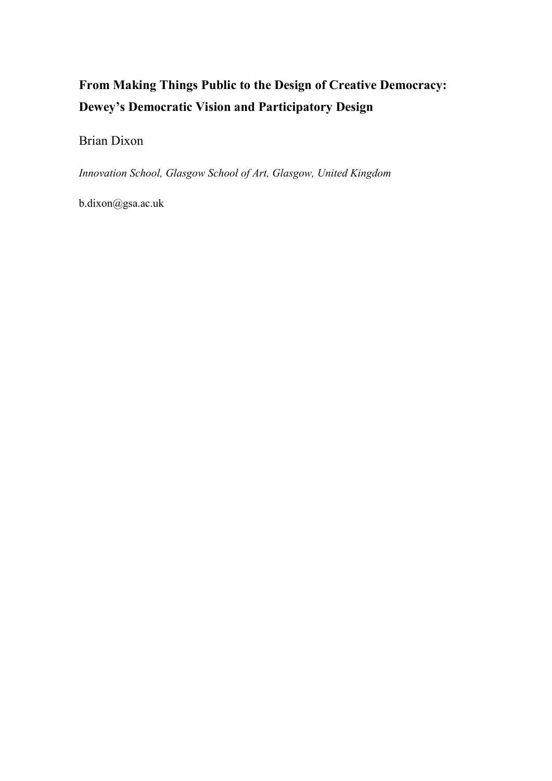# **From Making Things Public to the Design of Creative Democracy: Dewey's Democratic Vision and Participatory Design**

Brian Dixon

*Innovation School, Glasgow School of Art, Glasgow, United Kingdom*

b.dixon@gsa.ac.uk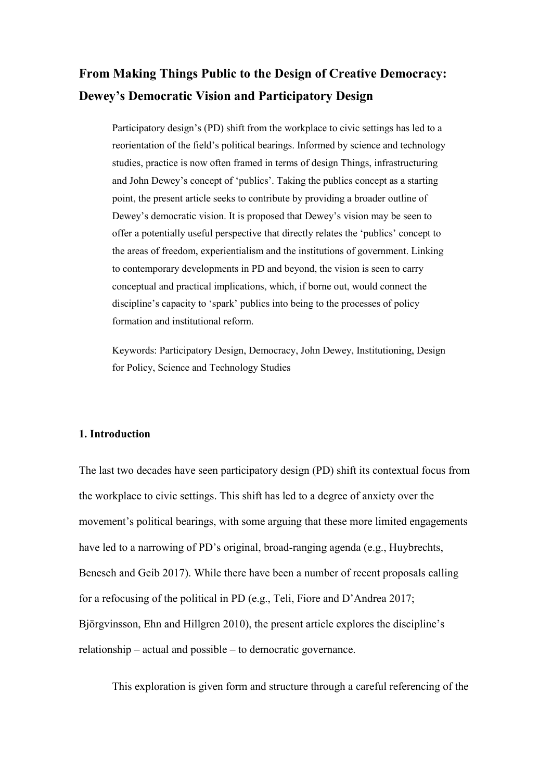## **From Making Things Public to the Design of Creative Democracy: Dewey's Democratic Vision and Participatory Design**

Participatory design's (PD) shift from the workplace to civic settings has led to a reorientation of the field's political bearings. Informed by science and technology studies, practice is now often framed in terms of design Things, infrastructuring and John Dewey's concept of 'publics'. Taking the publics concept as a starting point, the present article seeks to contribute by providing a broader outline of Dewey's democratic vision. It is proposed that Dewey's vision may be seen to offer a potentially useful perspective that directly relates the 'publics' concept to the areas of freedom, experientialism and the institutions of government. Linking to contemporary developments in PD and beyond, the vision is seen to carry conceptual and practical implications, which, if borne out, would connect the discipline's capacity to 'spark' publics into being to the processes of policy formation and institutional reform.

Keywords: Participatory Design, Democracy, John Dewey, Institutioning, Design for Policy, Science and Technology Studies

## **1. Introduction**

The last two decades have seen participatory design (PD) shift its contextual focus from the workplace to civic settings. This shift has led to a degree of anxiety over the movement's political bearings, with some arguing that these more limited engagements have led to a narrowing of PD's original, broad-ranging agenda (e.g., Huybrechts, Benesch and Geib 2017). While there have been a number of recent proposals calling for a refocusing of the political in PD (e.g., Teli, Fiore and D'Andrea 2017; Björgvinsson, Ehn and Hillgren 2010), the present article explores the discipline's relationship – actual and possible – to democratic governance.

This exploration is given form and structure through a careful referencing of the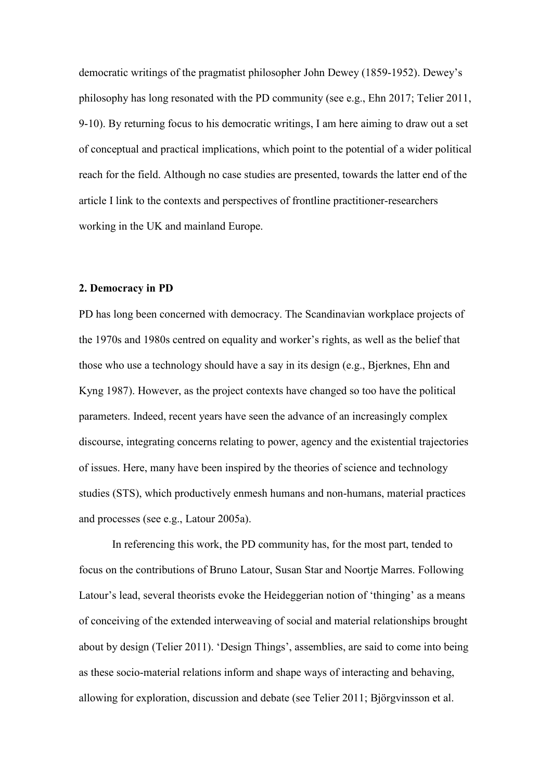democratic writings of the pragmatist philosopher John Dewey (1859-1952). Dewey's philosophy has long resonated with the PD community (see e.g., Ehn 2017; Telier 2011, 9-10). By returning focus to his democratic writings, I am here aiming to draw out a set of conceptual and practical implications, which point to the potential of a wider political reach for the field. Although no case studies are presented, towards the latter end of the article I link to the contexts and perspectives of frontline practitioner-researchers working in the UK and mainland Europe.

#### **2. Democracy in PD**

PD has long been concerned with democracy. The Scandinavian workplace projects of the 1970s and 1980s centred on equality and worker's rights, as well as the belief that those who use a technology should have a say in its design (e.g., Bjerknes, Ehn and Kyng 1987). However, as the project contexts have changed so too have the political parameters. Indeed, recent years have seen the advance of an increasingly complex discourse, integrating concerns relating to power, agency and the existential trajectories of issues. Here, many have been inspired by the theories of science and technology studies (STS), which productively enmesh humans and non-humans, material practices and processes (see e.g., Latour 2005a).

In referencing this work, the PD community has, for the most part, tended to focus on the contributions of Bruno Latour, Susan Star and Noortje Marres. Following Latour's lead, several theorists evoke the Heideggerian notion of 'thinging' as a means of conceiving of the extended interweaving of social and material relationships brought about by design (Telier 2011). 'Design Things', assemblies, are said to come into being as these socio-material relations inform and shape ways of interacting and behaving, allowing for exploration, discussion and debate (see Telier 2011; Björgvinsson et al.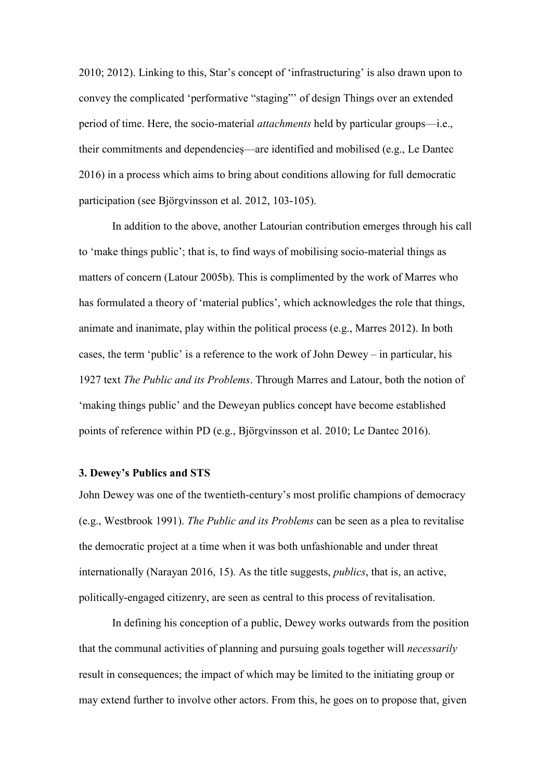2010; 2012). Linking to this, Star's concept of 'infrastructuring' is also drawn upon to convey the complicated 'performative "staging"' of design Things over an extended period of time. Here, the socio-material *attachments* held by particular groups—i.e., their commitments and dependencieș—are identified and mobilised (e.g., Le Dantec 2016) in a process which aims to bring about conditions allowing for full democratic participation (see Björgvinsson et al. 2012, 103-105).

In addition to the above, another Latourian contribution emerges through his call to 'make things public'; that is, to find ways of mobilising socio-material things as matters of concern (Latour 2005b). This is complimented by the work of Marres who has formulated a theory of 'material publics', which acknowledges the role that things, animate and inanimate, play within the political process (e.g., Marres 2012). In both cases, the term 'public' is a reference to the work of John Dewey – in particular, his 1927 text *The Public and its Problems*. Through Marres and Latour, both the notion of 'making things public' and the Deweyan publics concept have become established points of reference within PD (e.g., Björgvinsson et al. 2010; Le Dantec 2016).

## **3. Dewey's Publics and STS**

John Dewey was one of the twentieth-century's most prolific champions of democracy (e.g., Westbrook 1991). *The Public and its Problems* can be seen as a plea to revitalise the democratic project at a time when it was both unfashionable and under threat internationally (Narayan 2016, 15)*.* As the title suggests, *publics*, that is, an active, politically-engaged citizenry, are seen as central to this process of revitalisation.

In defining his conception of a public, Dewey works outwards from the position that the communal activities of planning and pursuing goals together will *necessarily* result in consequences; the impact of which may be limited to the initiating group or may extend further to involve other actors. From this, he goes on to propose that, given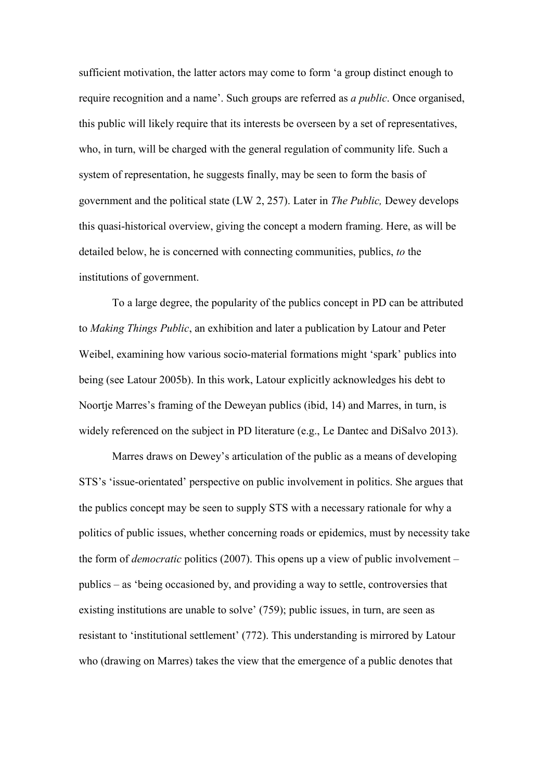sufficient motivation, the latter actors may come to form 'a group distinct enough to require recognition and a name'. Such groups are referred as *a public*. Once organised, this public will likely require that its interests be overseen by a set of representatives, who, in turn, will be charged with the general regulation of community life. Such a system of representation, he suggests finally, may be seen to form the basis of government and the political state (LW 2, 257). Later in *The Public,* Dewey develops this quasi-historical overview, giving the concept a modern framing. Here, as will be detailed below, he is concerned with connecting communities, publics, *to* the institutions of government.

To a large degree, the popularity of the publics concept in PD can be attributed to *Making Things Public*, an exhibition and later a publication by Latour and Peter Weibel, examining how various socio-material formations might 'spark' publics into being (see Latour 2005b). In this work, Latour explicitly acknowledges his debt to Noortje Marres's framing of the Deweyan publics (ibid, 14) and Marres, in turn, is widely referenced on the subject in PD literature (e.g., Le Dantec and DiSalvo 2013).

Marres draws on Dewey's articulation of the public as a means of developing STS's 'issue-orientated' perspective on public involvement in politics. She argues that the publics concept may be seen to supply STS with a necessary rationale for why a politics of public issues, whether concerning roads or epidemics, must by necessity take the form of *democratic* politics (2007). This opens up a view of public involvement – publics – as 'being occasioned by, and providing a way to settle, controversies that existing institutions are unable to solve' (759); public issues, in turn, are seen as resistant to 'institutional settlement' (772). This understanding is mirrored by Latour who (drawing on Marres) takes the view that the emergence of a public denotes that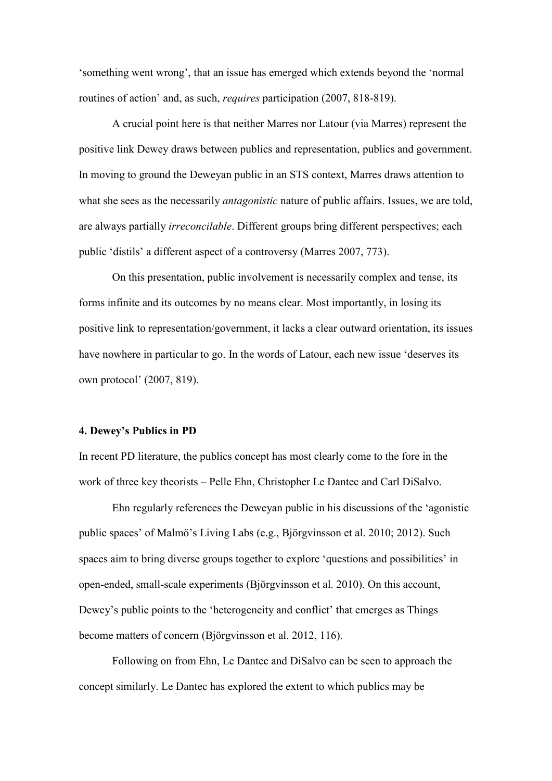'something went wrong', that an issue has emerged which extends beyond the 'normal routines of action' and, as such, *requires* participation (2007, 818-819).

A crucial point here is that neither Marres nor Latour (via Marres) represent the positive link Dewey draws between publics and representation, publics and government. In moving to ground the Deweyan public in an STS context, Marres draws attention to what she sees as the necessarily *antagonistic* nature of public affairs. Issues, we are told, are always partially *irreconcilable*. Different groups bring different perspectives; each public 'distils' a different aspect of a controversy (Marres 2007, 773).

On this presentation, public involvement is necessarily complex and tense, its forms infinite and its outcomes by no means clear. Most importantly, in losing its positive link to representation/government, it lacks a clear outward orientation, its issues have nowhere in particular to go. In the words of Latour, each new issue 'deserves its own protocol' (2007, 819).

#### **4. Dewey's Publics in PD**

In recent PD literature, the publics concept has most clearly come to the fore in the work of three key theorists – Pelle Ehn, Christopher Le Dantec and Carl DiSalvo.

Ehn regularly references the Deweyan public in his discussions of the 'agonistic public spaces' of Malmö's Living Labs (e.g., Björgvinsson et al. 2010; 2012). Such spaces aim to bring diverse groups together to explore 'questions and possibilities' in open-ended, small-scale experiments (Björgvinsson et al. 2010). On this account, Dewey's public points to the 'heterogeneity and conflict' that emerges as Things become matters of concern (Björgvinsson et al. 2012, 116).

Following on from Ehn, Le Dantec and DiSalvo can be seen to approach the concept similarly. Le Dantec has explored the extent to which publics may be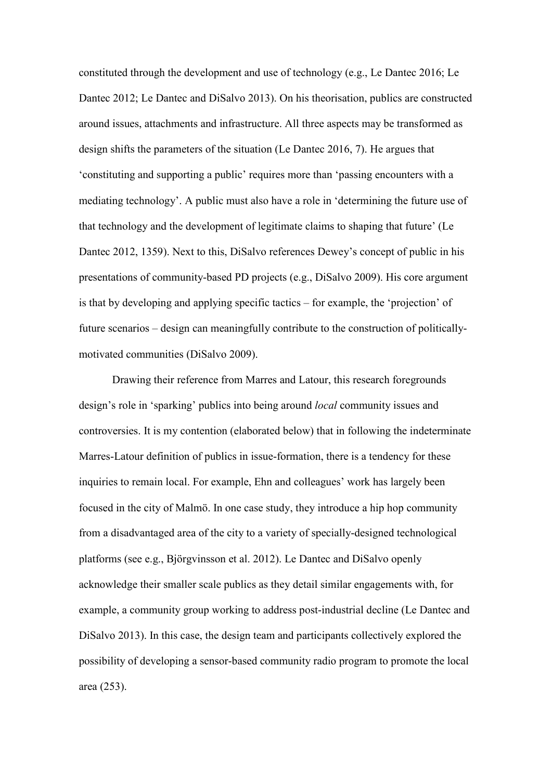constituted through the development and use of technology (e.g., Le Dantec 2016; Le Dantec 2012; Le Dantec and DiSalvo 2013). On his theorisation, publics are constructed around issues, attachments and infrastructure. All three aspects may be transformed as design shifts the parameters of the situation (Le Dantec 2016, 7). He argues that 'constituting and supporting a public' requires more than 'passing encounters with a mediating technology'. A public must also have a role in 'determining the future use of that technology and the development of legitimate claims to shaping that future' (Le Dantec 2012, 1359). Next to this, DiSalvo references Dewey's concept of public in his presentations of community-based PD projects (e.g., DiSalvo 2009). His core argument is that by developing and applying specific tactics – for example, the 'projection' of future scenarios – design can meaningfully contribute to the construction of politicallymotivated communities (DiSalvo 2009).

Drawing their reference from Marres and Latour, this research foregrounds design's role in 'sparking' publics into being around *local* community issues and controversies. It is my contention (elaborated below) that in following the indeterminate Marres-Latour definition of publics in issue-formation, there is a tendency for these inquiries to remain local. For example, Ehn and colleagues' work has largely been focused in the city of Malmö. In one case study, they introduce a hip hop community from a disadvantaged area of the city to a variety of specially-designed technological platforms (see e.g., Björgvinsson et al. 2012). Le Dantec and DiSalvo openly acknowledge their smaller scale publics as they detail similar engagements with, for example, a community group working to address post-industrial decline (Le Dantec and DiSalvo 2013). In this case, the design team and participants collectively explored the possibility of developing a sensor-based community radio program to promote the local area (253).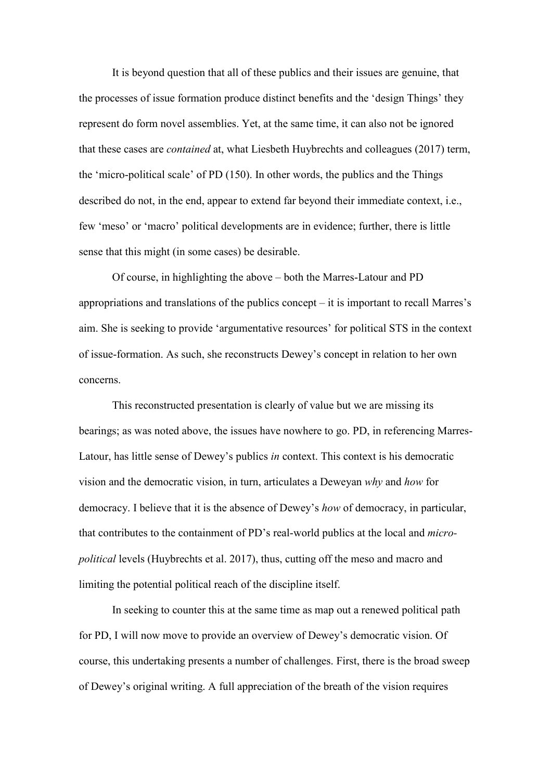It is beyond question that all of these publics and their issues are genuine, that the processes of issue formation produce distinct benefits and the 'design Things' they represent do form novel assemblies. Yet, at the same time, it can also not be ignored that these cases are *contained* at, what Liesbeth Huybrechts and colleagues (2017) term, the 'micro-political scale' of PD (150). In other words, the publics and the Things described do not, in the end, appear to extend far beyond their immediate context, i.e., few 'meso' or 'macro' political developments are in evidence; further, there is little sense that this might (in some cases) be desirable.

Of course, in highlighting the above – both the Marres-Latour and PD appropriations and translations of the publics concept – it is important to recall Marres's aim. She is seeking to provide 'argumentative resources' for political STS in the context of issue-formation. As such, she reconstructs Dewey's concept in relation to her own concerns.

This reconstructed presentation is clearly of value but we are missing its bearings; as was noted above, the issues have nowhere to go. PD, in referencing Marres-Latour, has little sense of Dewey's publics *in* context. This context is his democratic vision and the democratic vision, in turn, articulates a Deweyan *why* and *how* for democracy. I believe that it is the absence of Dewey's *how* of democracy, in particular, that contributes to the containment of PD's real-world publics at the local and *micropolitical* levels (Huybrechts et al. 2017), thus, cutting off the meso and macro and limiting the potential political reach of the discipline itself.

In seeking to counter this at the same time as map out a renewed political path for PD, I will now move to provide an overview of Dewey's democratic vision. Of course, this undertaking presents a number of challenges. First, there is the broad sweep of Dewey's original writing. A full appreciation of the breath of the vision requires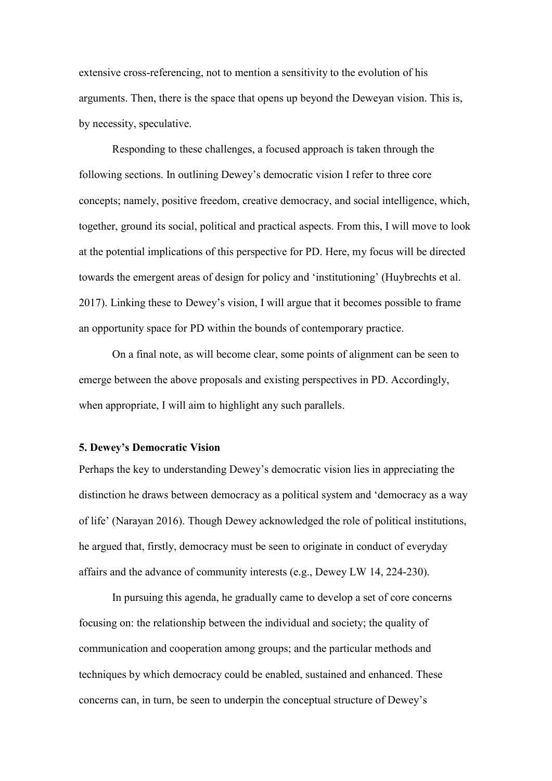extensive cross-referencing, not to mention a sensitivity to the evolution of his arguments. Then, there is the space that opens up beyond the Deweyan vision. This is, by necessity, speculative.

Responding to these challenges, a focused approach is taken through the following sections. In outlining Dewey's democratic vision I refer to three core concepts; namely, positive freedom, creative democracy, and social intelligence, which, together, ground its social, political and practical aspects. From this, I will move to look at the potential implications of this perspective for PD. Here, my focus will be directed towards the emergent areas of design for policy and 'institutioning' (Huybrechts et al. 2017). Linking these to Dewey's vision, I will argue that it becomes possible to frame an opportunity space for PD within the bounds of contemporary practice.

On a final note, as will become clear, some points of alignment can be seen to emerge between the above proposals and existing perspectives in PD. Accordingly, when appropriate, I will aim to highlight any such parallels.

## **5. Dewey's Democratic Vision**

Perhaps the key to understanding Dewey's democratic vision lies in appreciating the distinction he draws between democracy as a political system and 'democracy as a way of life' (Narayan 2016). Though Dewey acknowledged the role of political institutions, he argued that, firstly, democracy must be seen to originate in conduct of everyday affairs and the advance of community interests (e.g., Dewey LW 14, 224-230).

In pursuing this agenda, he gradually came to develop a set of core concerns focusing on: the relationship between the individual and society; the quality of communication and cooperation among groups; and the particular methods and techniques by which democracy could be enabled, sustained and enhanced. These concerns can, in turn, be seen to underpin the conceptual structure of Dewey's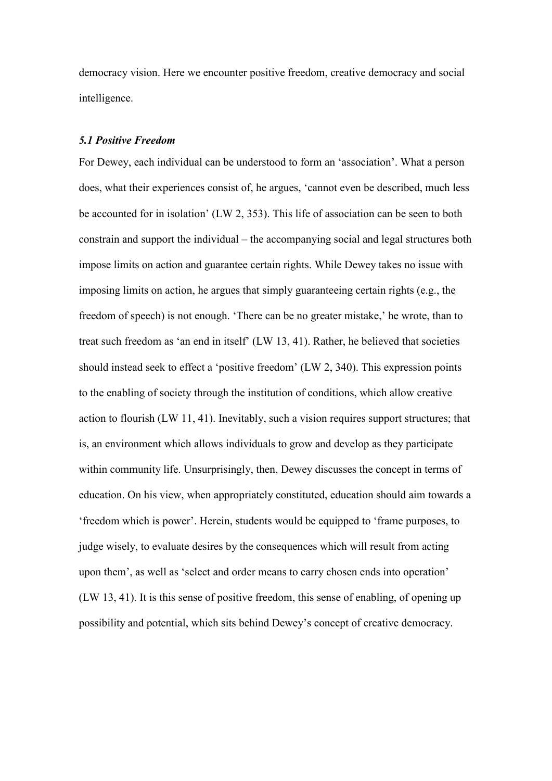democracy vision. Here we encounter positive freedom, creative democracy and social intelligence.

## *5.1 Positive Freedom*

For Dewey, each individual can be understood to form an 'association'. What a person does, what their experiences consist of, he argues, 'cannot even be described, much less be accounted for in isolation' (LW 2, 353). This life of association can be seen to both constrain and support the individual – the accompanying social and legal structures both impose limits on action and guarantee certain rights. While Dewey takes no issue with imposing limits on action, he argues that simply guaranteeing certain rights (e.g., the freedom of speech) is not enough. 'There can be no greater mistake,' he wrote, than to treat such freedom as 'an end in itself' (LW 13, 41). Rather, he believed that societies should instead seek to effect a 'positive freedom' (LW 2, 340). This expression points to the enabling of society through the institution of conditions, which allow creative action to flourish (LW 11, 41). Inevitably, such a vision requires support structures; that is, an environment which allows individuals to grow and develop as they participate within community life. Unsurprisingly, then, Dewey discusses the concept in terms of education. On his view, when appropriately constituted, education should aim towards a 'freedom which is power'. Herein, students would be equipped to 'frame purposes, to judge wisely, to evaluate desires by the consequences which will result from acting upon them', as well as 'select and order means to carry chosen ends into operation' (LW 13, 41). It is this sense of positive freedom, this sense of enabling, of opening up possibility and potential, which sits behind Dewey's concept of creative democracy.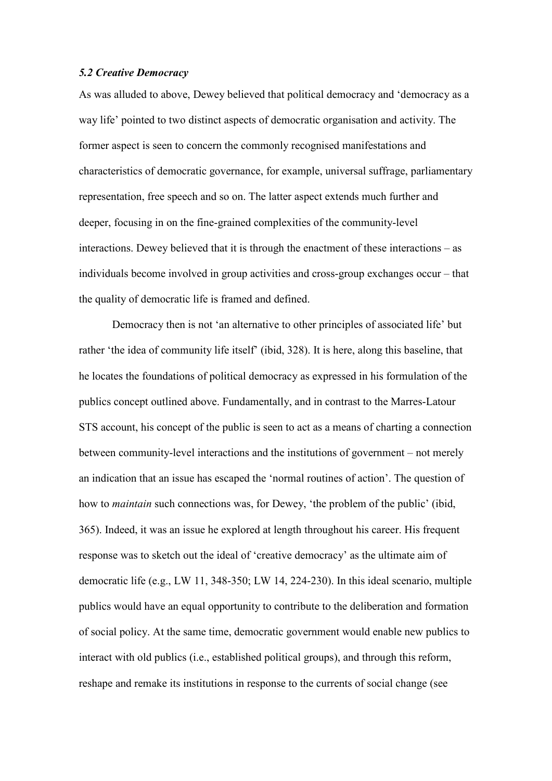#### *5.2 Creative Democracy*

As was alluded to above, Dewey believed that political democracy and 'democracy as a way life' pointed to two distinct aspects of democratic organisation and activity. The former aspect is seen to concern the commonly recognised manifestations and characteristics of democratic governance, for example, universal suffrage, parliamentary representation, free speech and so on. The latter aspect extends much further and deeper, focusing in on the fine-grained complexities of the community-level interactions. Dewey believed that it is through the enactment of these interactions – as individuals become involved in group activities and cross-group exchanges occur – that the quality of democratic life is framed and defined.

Democracy then is not 'an alternative to other principles of associated life' but rather 'the idea of community life itself' (ibid, 328). It is here, along this baseline, that he locates the foundations of political democracy as expressed in his formulation of the publics concept outlined above. Fundamentally, and in contrast to the Marres-Latour STS account, his concept of the public is seen to act as a means of charting a connection between community-level interactions and the institutions of government – not merely an indication that an issue has escaped the 'normal routines of action'. The question of how to *maintain* such connections was, for Dewey, 'the problem of the public' (ibid, 365). Indeed, it was an issue he explored at length throughout his career. His frequent response was to sketch out the ideal of 'creative democracy' as the ultimate aim of democratic life (e.g., LW 11, 348-350; LW 14, 224-230). In this ideal scenario, multiple publics would have an equal opportunity to contribute to the deliberation and formation of social policy. At the same time, democratic government would enable new publics to interact with old publics (i.e., established political groups), and through this reform, reshape and remake its institutions in response to the currents of social change (see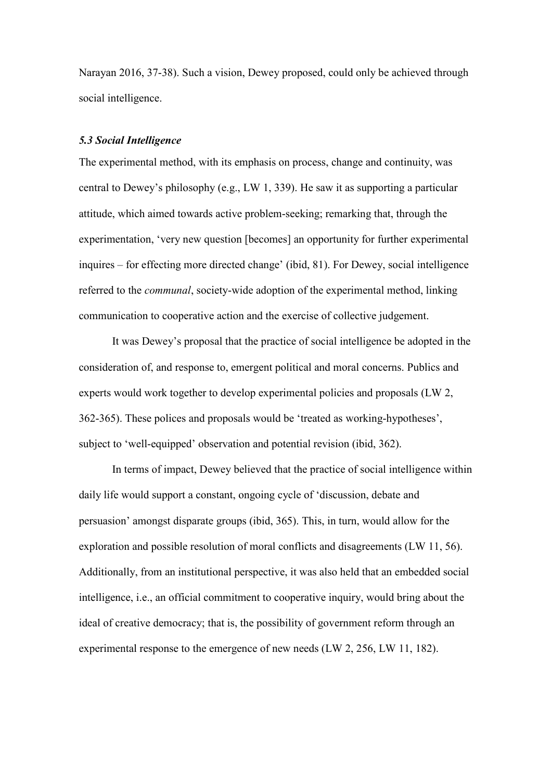Narayan 2016, 37-38). Such a vision, Dewey proposed, could only be achieved through social intelligence.

## *5.3 Social Intelligence*

The experimental method, with its emphasis on process, change and continuity, was central to Dewey's philosophy (e.g., LW 1, 339). He saw it as supporting a particular attitude, which aimed towards active problem-seeking; remarking that, through the experimentation, 'very new question [becomes] an opportunity for further experimental inquires – for effecting more directed change' (ibid, 81). For Dewey, social intelligence referred to the *communal*, society-wide adoption of the experimental method, linking communication to cooperative action and the exercise of collective judgement.

It was Dewey's proposal that the practice of social intelligence be adopted in the consideration of, and response to, emergent political and moral concerns. Publics and experts would work together to develop experimental policies and proposals (LW 2, 362-365). These polices and proposals would be 'treated as working-hypotheses', subject to 'well-equipped' observation and potential revision (ibid, 362).

In terms of impact, Dewey believed that the practice of social intelligence within daily life would support a constant, ongoing cycle of 'discussion, debate and persuasion' amongst disparate groups (ibid, 365). This, in turn, would allow for the exploration and possible resolution of moral conflicts and disagreements (LW 11, 56). Additionally, from an institutional perspective, it was also held that an embedded social intelligence, i.e., an official commitment to cooperative inquiry, would bring about the ideal of creative democracy; that is, the possibility of government reform through an experimental response to the emergence of new needs (LW 2, 256, LW 11, 182).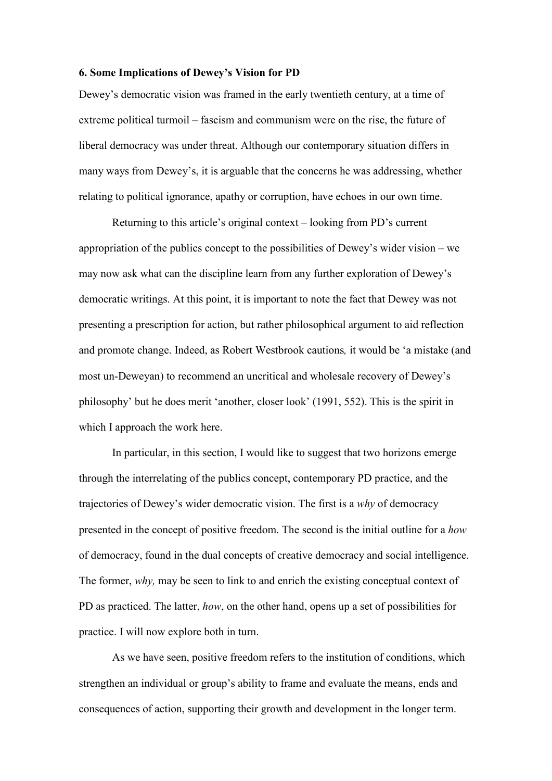### **6. Some Implications of Dewey's Vision for PD**

Dewey's democratic vision was framed in the early twentieth century, at a time of extreme political turmoil – fascism and communism were on the rise, the future of liberal democracy was under threat. Although our contemporary situation differs in many ways from Dewey's, it is arguable that the concerns he was addressing, whether relating to political ignorance, apathy or corruption, have echoes in our own time.

Returning to this article's original context – looking from PD's current appropriation of the publics concept to the possibilities of Dewey's wider vision – we may now ask what can the discipline learn from any further exploration of Dewey's democratic writings. At this point, it is important to note the fact that Dewey was not presenting a prescription for action, but rather philosophical argument to aid reflection and promote change. Indeed, as Robert Westbrook cautions*,* it would be 'a mistake (and most un-Deweyan) to recommend an uncritical and wholesale recovery of Dewey's philosophy' but he does merit 'another, closer look' (1991, 552). This is the spirit in which I approach the work here.

In particular, in this section, I would like to suggest that two horizons emerge through the interrelating of the publics concept, contemporary PD practice, and the trajectories of Dewey's wider democratic vision. The first is a *why* of democracy presented in the concept of positive freedom. The second is the initial outline for a *how*  of democracy, found in the dual concepts of creative democracy and social intelligence. The former, *why,* may be seen to link to and enrich the existing conceptual context of PD as practiced. The latter, *how*, on the other hand, opens up a set of possibilities for practice. I will now explore both in turn.

As we have seen, positive freedom refers to the institution of conditions, which strengthen an individual or group's ability to frame and evaluate the means, ends and consequences of action, supporting their growth and development in the longer term.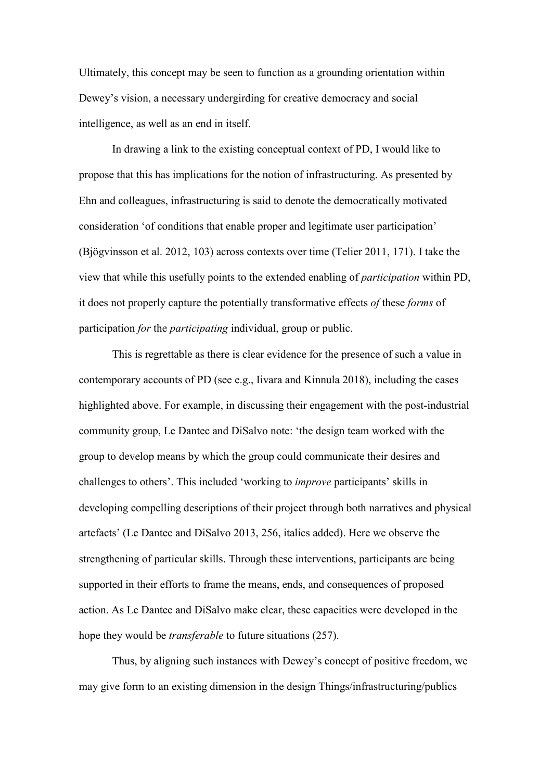Ultimately, this concept may be seen to function as a grounding orientation within Dewey's vision, a necessary undergirding for creative democracy and social intelligence, as well as an end in itself.

In drawing a link to the existing conceptual context of PD, I would like to propose that this has implications for the notion of infrastructuring. As presented by Ehn and colleagues, infrastructuring is said to denote the democratically motivated consideration 'of conditions that enable proper and legitimate user participation' (Bjögvinsson et al. 2012, 103) across contexts over time (Telier 2011, 171). I take the view that while this usefully points to the extended enabling of *participation* within PD, it does not properly capture the potentially transformative effects *of* these *forms* of participation *for* the *participating* individual, group or public.

This is regrettable as there is clear evidence for the presence of such a value in contemporary accounts of PD (see e.g., Iivara and Kinnula 2018), including the cases highlighted above. For example, in discussing their engagement with the post-industrial community group, Le Dantec and DiSalvo note: 'the design team worked with the group to develop means by which the group could communicate their desires and challenges to others'. This included 'working to *improve* participants' skills in developing compelling descriptions of their project through both narratives and physical artefacts' (Le Dantec and DiSalvo 2013, 256, italics added). Here we observe the strengthening of particular skills. Through these interventions, participants are being supported in their efforts to frame the means, ends, and consequences of proposed action. As Le Dantec and DiSalvo make clear, these capacities were developed in the hope they would be *transferable* to future situations (257).

Thus, by aligning such instances with Dewey's concept of positive freedom, we may give form to an existing dimension in the design Things/infrastructuring/publics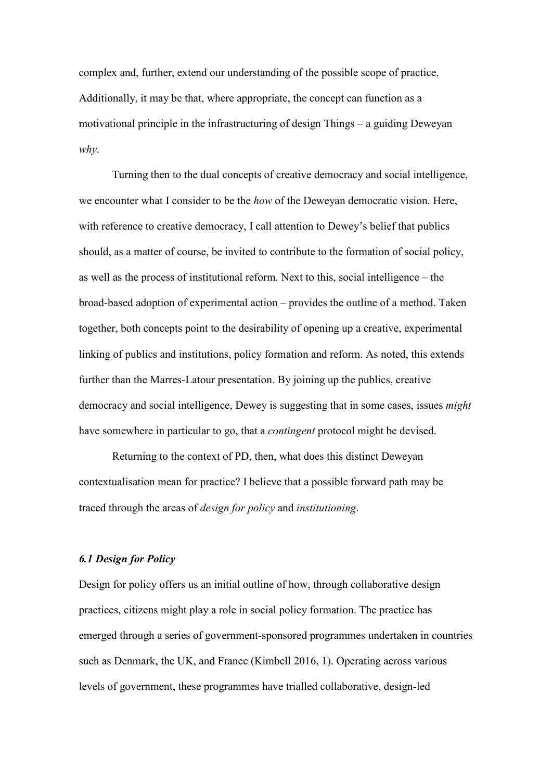complex and, further, extend our understanding of the possible scope of practice. Additionally, it may be that, where appropriate, the concept can function as a motivational principle in the infrastructuring of design Things – a guiding Deweyan *why*.

Turning then to the dual concepts of creative democracy and social intelligence, we encounter what I consider to be the *how* of the Deweyan democratic vision. Here, with reference to creative democracy, I call attention to Dewey's belief that publics should, as a matter of course, be invited to contribute to the formation of social policy, as well as the process of institutional reform. Next to this, social intelligence – the broad-based adoption of experimental action – provides the outline of a method. Taken together, both concepts point to the desirability of opening up a creative, experimental linking of publics and institutions, policy formation and reform. As noted, this extends further than the Marres-Latour presentation. By joining up the publics, creative democracy and social intelligence, Dewey is suggesting that in some cases, issues *might* have somewhere in particular to go, that a *contingent* protocol might be devised.

Returning to the context of PD, then, what does this distinct Deweyan contextualisation mean for practice? I believe that a possible forward path may be traced through the areas of *design for policy* and *institutioning*.

## *6.1 Design for Policy*

Design for policy offers us an initial outline of how, through collaborative design practices, citizens might play a role in social policy formation. The practice has emerged through a series of government-sponsored programmes undertaken in countries such as Denmark, the UK, and France (Kimbell 2016, 1). Operating across various levels of government, these programmes have trialled collaborative, design-led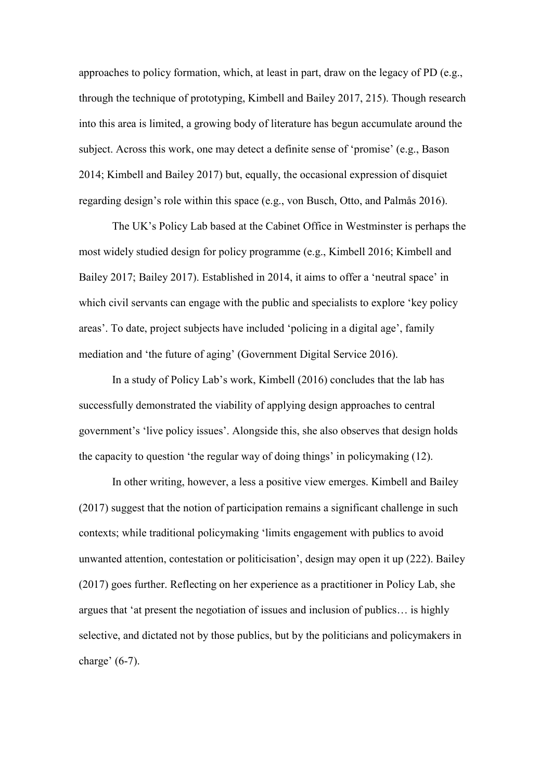approaches to policy formation, which, at least in part, draw on the legacy of PD (e.g., through the technique of prototyping, Kimbell and Bailey 2017, 215). Though research into this area is limited, a growing body of literature has begun accumulate around the subject. Across this work, one may detect a definite sense of 'promise' (e.g., Bason 2014; Kimbell and Bailey 2017) but, equally, the occasional expression of disquiet regarding design's role within this space (e.g., von Busch, Otto, and Palmås 2016).

The UK's Policy Lab based at the Cabinet Office in Westminster is perhaps the most widely studied design for policy programme (e.g., Kimbell 2016; Kimbell and Bailey 2017; Bailey 2017). Established in 2014, it aims to offer a 'neutral space' in which civil servants can engage with the public and specialists to explore 'key policy areas'. To date, project subjects have included 'policing in a digital age', family mediation and 'the future of aging' (Government Digital Service 2016).

In a study of Policy Lab's work, Kimbell (2016) concludes that the lab has successfully demonstrated the viability of applying design approaches to central government's 'live policy issues'. Alongside this, she also observes that design holds the capacity to question 'the regular way of doing things' in policymaking (12).

In other writing, however, a less a positive view emerges. Kimbell and Bailey (2017) suggest that the notion of participation remains a significant challenge in such contexts; while traditional policymaking 'limits engagement with publics to avoid unwanted attention, contestation or politicisation', design may open it up (222). Bailey (2017) goes further. Reflecting on her experience as a practitioner in Policy Lab, she argues that 'at present the negotiation of issues and inclusion of publics… is highly selective, and dictated not by those publics, but by the politicians and policymakers in charge' (6-7).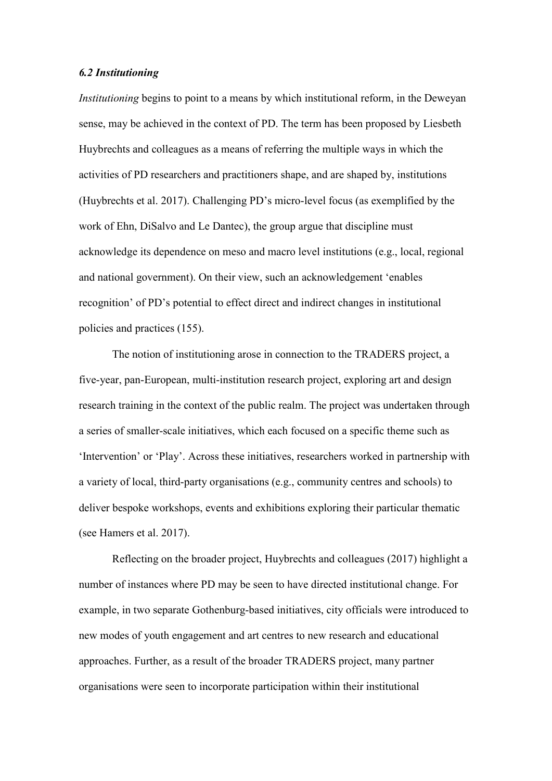## *6.2 Institutioning*

*Institutioning* begins to point to a means by which institutional reform, in the Deweyan sense, may be achieved in the context of PD. The term has been proposed by Liesbeth Huybrechts and colleagues as a means of referring the multiple ways in which the activities of PD researchers and practitioners shape, and are shaped by, institutions (Huybrechts et al. 2017). Challenging PD's micro-level focus (as exemplified by the work of Ehn, DiSalvo and Le Dantec), the group argue that discipline must acknowledge its dependence on meso and macro level institutions (e.g., local, regional and national government). On their view, such an acknowledgement 'enables recognition' of PD's potential to effect direct and indirect changes in institutional policies and practices (155).

The notion of institutioning arose in connection to the TRADERS project, a five-year, pan-European, multi-institution research project, exploring art and design research training in the context of the public realm. The project was undertaken through a series of smaller-scale initiatives, which each focused on a specific theme such as 'Intervention' or 'Play'. Across these initiatives, researchers worked in partnership with a variety of local, third-party organisations (e.g., community centres and schools) to deliver bespoke workshops, events and exhibitions exploring their particular thematic (see Hamers et al. 2017).

Reflecting on the broader project, Huybrechts and colleagues (2017) highlight a number of instances where PD may be seen to have directed institutional change. For example, in two separate Gothenburg-based initiatives, city officials were introduced to new modes of youth engagement and art centres to new research and educational approaches. Further, as a result of the broader TRADERS project, many partner organisations were seen to incorporate participation within their institutional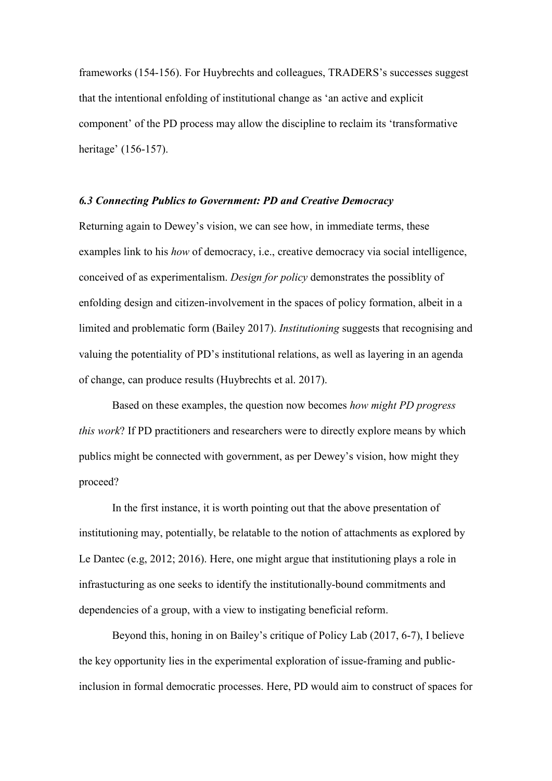frameworks (154-156). For Huybrechts and colleagues, TRADERS's successes suggest that the intentional enfolding of institutional change as 'an active and explicit component' of the PD process may allow the discipline to reclaim its 'transformative heritage' (156-157).

## *6.3 Connecting Publics to Government: PD and Creative Democracy*

Returning again to Dewey's vision, we can see how, in immediate terms, these examples link to his *how* of democracy, i.e., creative democracy via social intelligence, conceived of as experimentalism. *Design for policy* demonstrates the possiblity of enfolding design and citizen-involvement in the spaces of policy formation, albeit in a limited and problematic form (Bailey 2017). *Institutioning* suggests that recognising and valuing the potentiality of PD's institutional relations, as well as layering in an agenda of change, can produce results (Huybrechts et al. 2017).

Based on these examples, the question now becomes *how might PD progress this work*? If PD practitioners and researchers were to directly explore means by which publics might be connected with government, as per Dewey's vision, how might they proceed?

In the first instance, it is worth pointing out that the above presentation of institutioning may, potentially, be relatable to the notion of attachments as explored by Le Dantec (e.g, 2012; 2016). Here, one might argue that institutioning plays a role in infrastucturing as one seeks to identify the institutionally-bound commitments and dependencies of a group, with a view to instigating beneficial reform.

Beyond this, honing in on Bailey's critique of Policy Lab (2017, 6-7), I believe the key opportunity lies in the experimental exploration of issue-framing and publicinclusion in formal democratic processes. Here, PD would aim to construct of spaces for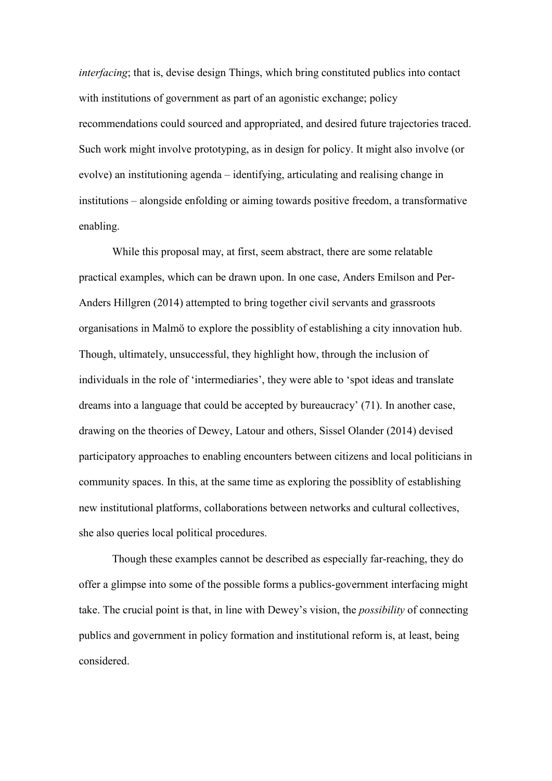*interfacing*; that is, devise design Things, which bring constituted publics into contact with institutions of government as part of an agonistic exchange; policy recommendations could sourced and appropriated, and desired future trajectories traced. Such work might involve prototyping, as in design for policy. It might also involve (or evolve) an institutioning agenda – identifying, articulating and realising change in institutions – alongside enfolding or aiming towards positive freedom, a transformative enabling.

While this proposal may, at first, seem abstract, there are some relatable practical examples, which can be drawn upon. In one case, Anders Emilson and Per-Anders Hillgren (2014) attempted to bring together civil servants and grassroots organisations in Malmö to explore the possiblity of establishing a city innovation hub. Though, ultimately, unsuccessful, they highlight how, through the inclusion of individuals in the role of 'intermediaries', they were able to 'spot ideas and translate dreams into a language that could be accepted by bureaucracy' (71). In another case, drawing on the theories of Dewey, Latour and others, Sissel Olander (2014) devised participatory approaches to enabling encounters between citizens and local politicians in community spaces. In this, at the same time as exploring the possiblity of establishing new institutional platforms, collaborations between networks and cultural collectives, she also queries local political procedures.

Though these examples cannot be described as especially far-reaching, they do offer a glimpse into some of the possible forms a publics-government interfacing might take. The crucial point is that, in line with Dewey's vision, the *possibility* of connecting publics and government in policy formation and institutional reform is, at least, being considered.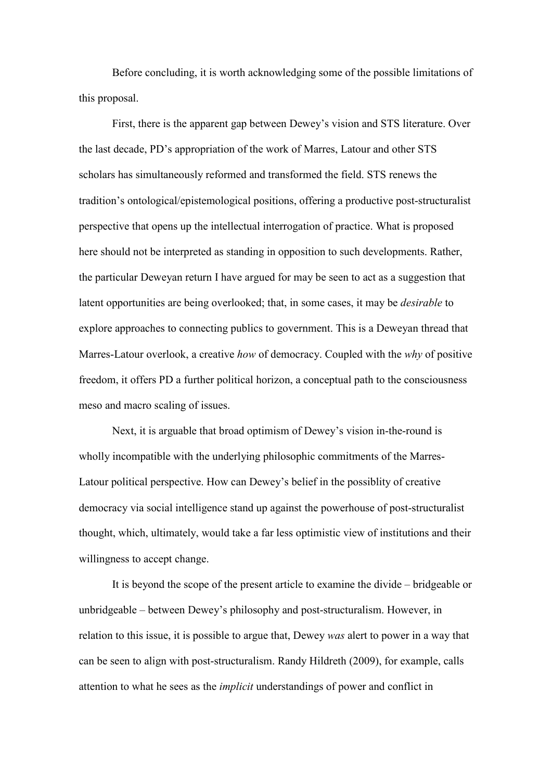Before concluding, it is worth acknowledging some of the possible limitations of this proposal.

First, there is the apparent gap between Dewey's vision and STS literature. Over the last decade, PD's appropriation of the work of Marres, Latour and other STS scholars has simultaneously reformed and transformed the field. STS renews the tradition's ontological/epistemological positions, offering a productive post-structuralist perspective that opens up the intellectual interrogation of practice. What is proposed here should not be interpreted as standing in opposition to such developments. Rather, the particular Deweyan return I have argued for may be seen to act as a suggestion that latent opportunities are being overlooked; that, in some cases, it may be *desirable* to explore approaches to connecting publics to government. This is a Deweyan thread that Marres-Latour overlook, a creative *how* of democracy. Coupled with the *why* of positive freedom, it offers PD a further political horizon, a conceptual path to the consciousness meso and macro scaling of issues.

Next, it is arguable that broad optimism of Dewey's vision in-the-round is wholly incompatible with the underlying philosophic commitments of the Marres-Latour political perspective. How can Dewey's belief in the possiblity of creative democracy via social intelligence stand up against the powerhouse of post-structuralist thought, which, ultimately, would take a far less optimistic view of institutions and their willingness to accept change.

It is beyond the scope of the present article to examine the divide – bridgeable or unbridgeable – between Dewey's philosophy and post-structuralism. However, in relation to this issue, it is possible to argue that, Dewey *was* alert to power in a way that can be seen to align with post-structuralism. Randy Hildreth (2009), for example, calls attention to what he sees as the *implicit* understandings of power and conflict in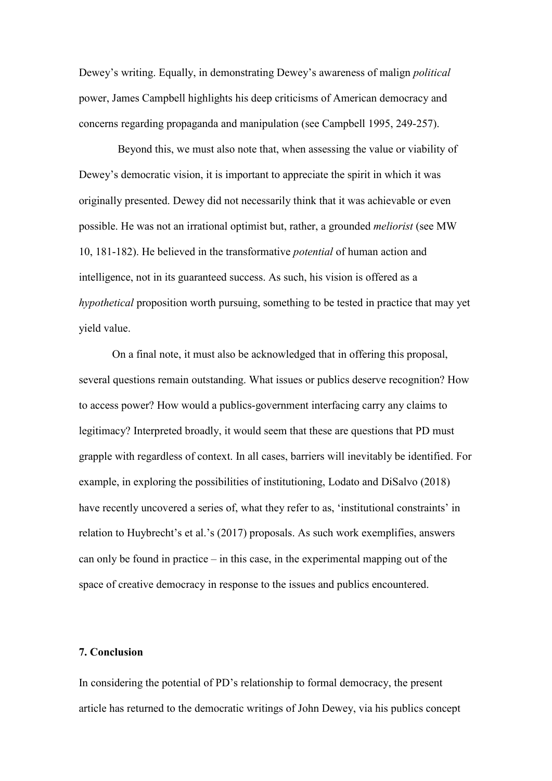Dewey's writing. Equally, in demonstrating Dewey's awareness of malign *political* power, James Campbell highlights his deep criticisms of American democracy and concerns regarding propaganda and manipulation (see Campbell 1995, 249-257).

 Beyond this, we must also note that, when assessing the value or viability of Dewey's democratic vision, it is important to appreciate the spirit in which it was originally presented. Dewey did not necessarily think that it was achievable or even possible. He was not an irrational optimist but, rather, a grounded *meliorist* (see MW 10, 181-182). He believed in the transformative *potential* of human action and intelligence, not in its guaranteed success. As such, his vision is offered as a *hypothetical* proposition worth pursuing, something to be tested in practice that may yet yield value.

On a final note, it must also be acknowledged that in offering this proposal, several questions remain outstanding. What issues or publics deserve recognition? How to access power? How would a publics-government interfacing carry any claims to legitimacy? Interpreted broadly, it would seem that these are questions that PD must grapple with regardless of context. In all cases, barriers will inevitably be identified. For example, in exploring the possibilities of institutioning, Lodato and DiSalvo (2018) have recently uncovered a series of, what they refer to as, 'institutional constraints' in relation to Huybrecht's et al.'s (2017) proposals. As such work exemplifies, answers can only be found in practice – in this case, in the experimental mapping out of the space of creative democracy in response to the issues and publics encountered.

## **7. Conclusion**

In considering the potential of PD's relationship to formal democracy, the present article has returned to the democratic writings of John Dewey, via his publics concept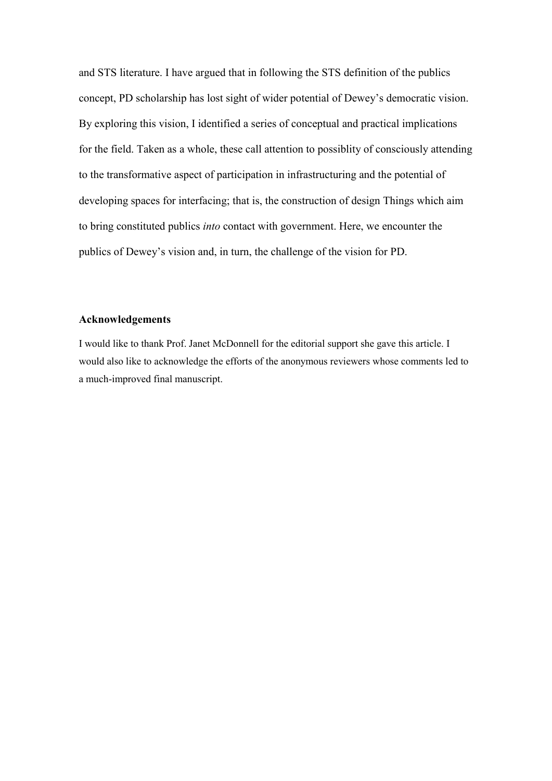and STS literature. I have argued that in following the STS definition of the publics concept, PD scholarship has lost sight of wider potential of Dewey's democratic vision. By exploring this vision, I identified a series of conceptual and practical implications for the field. Taken as a whole, these call attention to possiblity of consciously attending to the transformative aspect of participation in infrastructuring and the potential of developing spaces for interfacing; that is, the construction of design Things which aim to bring constituted publics *into* contact with government. Here, we encounter the publics of Dewey's vision and, in turn, the challenge of the vision for PD.

## **Acknowledgements**

I would like to thank Prof. Janet McDonnell for the editorial support she gave this article. I would also like to acknowledge the efforts of the anonymous reviewers whose comments led to a much-improved final manuscript.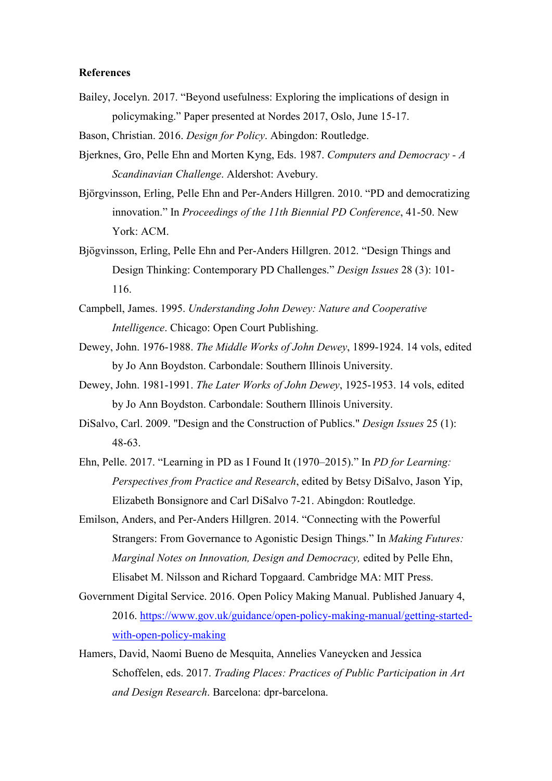## **References**

Bailey, Jocelyn. 2017. "Beyond usefulness: Exploring the implications of design in policymaking." Paper presented at Nordes 2017, Oslo, June 15-17.

Bason, Christian. 2016. *Design for Policy*. Abingdon: Routledge.

- Bjerknes, Gro, Pelle Ehn and Morten Kyng, Eds. 1987. *Computers and Democracy - A Scandinavian Challenge*. Aldershot: Avebury.
- Björgvinsson, Erling, Pelle Ehn and Per-Anders Hillgren. 2010. "PD and democratizing innovation." In *Proceedings of the 11th Biennial PD Conference*, 41-50. New York: ACM.
- Bjögvinsson, Erling, Pelle Ehn and Per-Anders Hillgren. 2012. "Design Things and Design Thinking: Contemporary PD Challenges." *Design Issues* 28 (3): 101- 116.
- Campbell, James. 1995. *Understanding John Dewey: Nature and Cooperative Intelligence*. Chicago: Open Court Publishing.
- Dewey, John. 1976-1988. *The Middle Works of John Dewey*, 1899-1924. 14 vols, edited by Jo Ann Boydston. Carbondale: Southern Illinois University.
- Dewey, John. 1981-1991. *The Later Works of John Dewey*, 1925-1953. 14 vols, edited by Jo Ann Boydston. Carbondale: Southern Illinois University.
- DiSalvo, Carl. 2009. "Design and the Construction of Publics." *Design Issues* 25 (1): 48-63.
- Ehn, Pelle. 2017. "Learning in PD as I Found It (1970–2015)." In *PD for Learning: Perspectives from Practice and Research*, edited by Betsy DiSalvo, Jason Yip, Elizabeth Bonsignore and Carl DiSalvo 7-21. Abingdon: Routledge.
- Emilson, Anders, and Per-Anders Hillgren. 2014. "Connecting with the Powerful Strangers: From Governance to Agonistic Design Things." In *Making Futures: Marginal Notes on Innovation, Design and Democracy,* edited by Pelle Ehn, Elisabet M. Nilsson and Richard Topgaard. Cambridge MA: MIT Press.
- Government Digital Service. 2016. Open Policy Making Manual. Published January 4, 2016. [https://www.gov.uk/guidance/open-policy-making-manual/getting-started](https://www.gov.uk/guidance/open-policy-making-manual/getting-started-with-open-policy-making)[with-open-policy-making](https://www.gov.uk/guidance/open-policy-making-manual/getting-started-with-open-policy-making)
- Hamers, David, Naomi Bueno de Mesquita, Annelies Vaneycken and Jessica Schoffelen, eds. 2017. *Trading Places: Practices of Public Participation in Art and Design Research*. Barcelona: dpr-barcelona.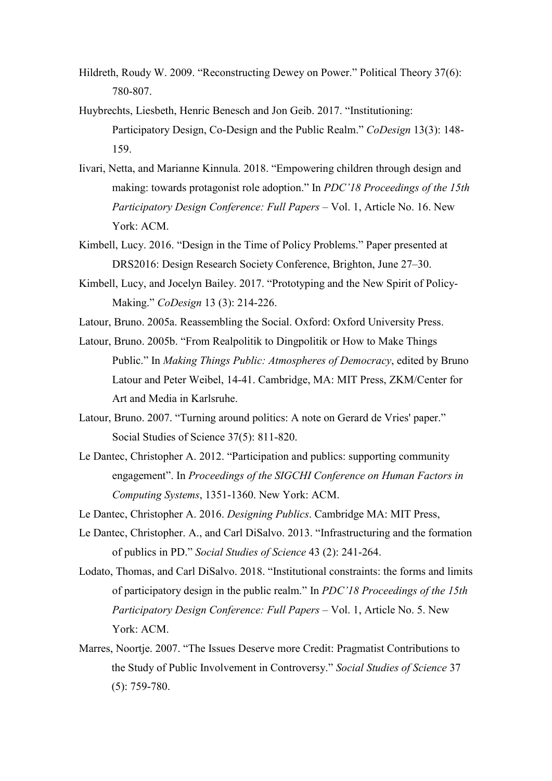- Hildreth, Roudy W. 2009. "Reconstructing Dewey on Power." Political Theory 37(6): 780-807.
- Huybrechts, Liesbeth, Henric Benesch and Jon Geib. 2017. "Institutioning: Participatory Design, Co-Design and the Public Realm." *CoDesign* 13(3): 148- 159.
- Iivari, Netta, and Marianne Kinnula. 2018. "Empowering children through design and making: towards protagonist role adoption." In *PDC'18 Proceedings of the 15th Participatory Design Conference: Full Papers* – Vol. 1, Article No. 16. New York: ACM.
- Kimbell, Lucy. 2016. "Design in the Time of Policy Problems." Paper presented at DRS2016: Design Research Society Conference, Brighton, June 27–30.
- Kimbell, Lucy, and Jocelyn Bailey. 2017. "Prototyping and the New Spirit of Policy-Making." *CoDesign* 13 (3): 214-226.
- Latour, Bruno. 2005a. Reassembling the Social. Oxford: Oxford University Press.
- Latour, Bruno. 2005b. "From Realpolitik to Dingpolitik or How to Make Things Public." In *Making Things Public: Atmospheres of Democracy*, edited by Bruno Latour and Peter Weibel, 14-41. Cambridge, MA: MIT Press, ZKM/Center for Art and Media in Karlsruhe.
- Latour, Bruno. 2007. "Turning around politics: A note on Gerard de Vries' paper." Social Studies of Science 37(5): 811-820.
- Le Dantec, Christopher A. 2012. "Participation and publics: supporting community engagement". In *Proceedings of the SIGCHI Conference on Human Factors in Computing Systems*, 1351-1360. New York: ACM.
- Le Dantec, Christopher A. 2016. *Designing Publics*. Cambridge MA: MIT Press,
- Le Dantec, Christopher. A., and Carl DiSalvo. 2013. "Infrastructuring and the formation of publics in PD." *Social Studies of Science* 43 (2): 241-264.
- Lodato, Thomas, and Carl DiSalvo. 2018. "Institutional constraints: the forms and limits of participatory design in the public realm." In *PDC'18 Proceedings of the 15th Participatory Design Conference: Full Papers* – Vol. 1, Article No. 5. New York: ACM.
- Marres, Noortje. 2007. "The Issues Deserve more Credit: Pragmatist Contributions to the Study of Public Involvement in Controversy." *Social Studies of Science* 37 (5): 759-780.